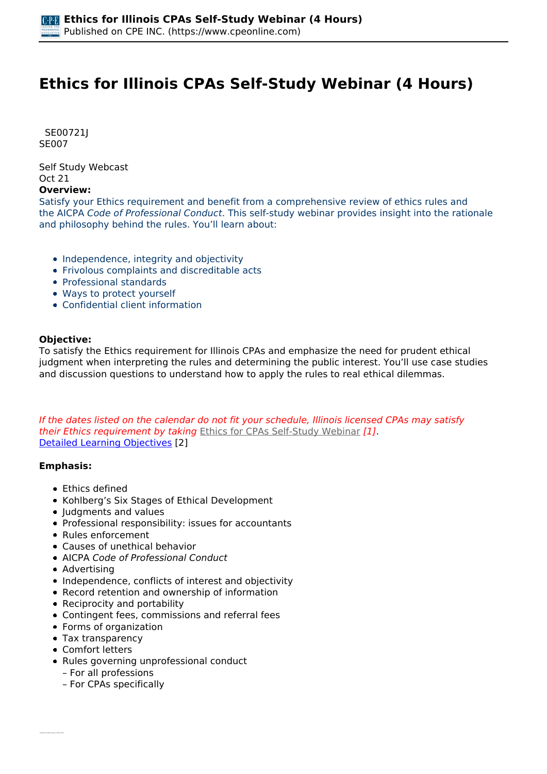# **Ethics for Illinois CPAs Self-Study Webinar (4 Hours)**

 *SE00721J SE007* 

*Self Study Webcast Oct 21* 

#### **Overview:**

*Satisfy your Ethics requirement and benefit from a comprehensive review of ethics rules and the AICPA Code of Professional Conduct. This self-study webinar provides insight into the rationale and philosophy behind the rules. You'll learn about:*

- *Independence, integrity and objectivity*
- *Frivolous complaints and discreditable acts*
- *Professional standards*
- *Ways to protect yourself*
- *Confidential client information*

#### **Objective:**

*To satisfy the Ethics requirement for Illinois CPAs and emphasize the need for prudent ethical judgment when interpreting the rules and determining the public interest. You'll use case studies and discussion questions to understand how to apply the rules to real ethical dilemmas.*

*If the dates listed on the calendar do not fit your schedule, Illinois licensed CPAs may satisfy their Ethics requirement by taking [Ethics for CPAs Self-Study Webinar](https://www.cpeonline.com/node/112855) [1]. [Detailed Learning Objectives](https://www.cpeonline.com/JavaScript:showObjectivesPopup();) [2]*

#### **Emphasis:**

- *Ethics defined*
- *Kohlberg's Six Stages of Ethical Development*
- *Judgments and values*
- *Professional responsibility: issues for accountants*
- *Rules enforcement*
- *Causes of unethical behavior*
- *AICPA Code of Professional Conduct*
- *Advertising*
- *Independence, conflicts of interest and objectivity*
- *Record retention and ownership of information*
- *Reciprocity and portability*
- *Contingent fees, commissions and referral fees*
- *Forms of organization*
- *Tax transparency*
- *Comfort letters*
- *Rules governing unprofessional conduct – For all professions*
	- *For CPAs specifically*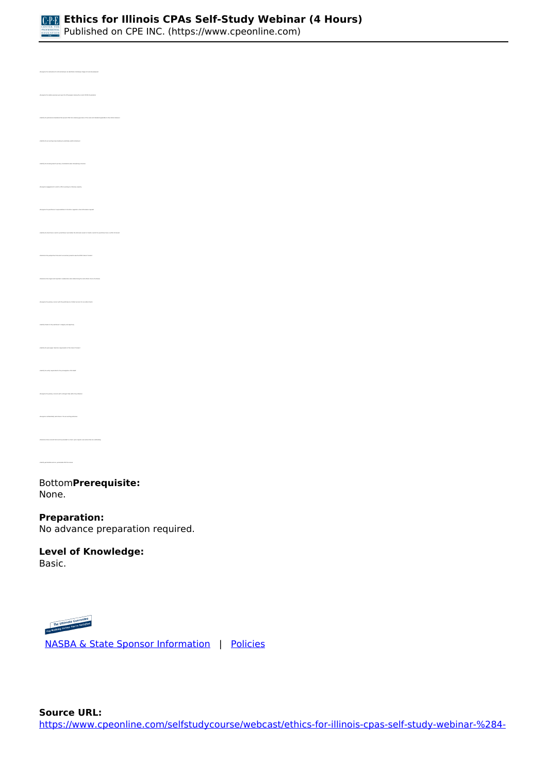

*• Identify the professional mandates that prevent CPAs from claiming ignorance of the rules and standards applicable to their ethical behavior • Identify the accounting issues leading to potentially unethical behavior • Recognize engagements in which a CPA is working in a fiduciary capacity • Determine the perspective from which accountancy boards view the AICPA Code of Conduct • Recognize the primary concern with the performance of attest services for non-attest clients • Identify threats to the practitioner's integrity and objectivity • Identify the work paper retention requirements of the Code of Conduct • Identify the entity responsible for the promulgation of US GAAP • Determine those records that must be provided to a client, upon request, even where fees are outstanding • Identify permissible and non- permissible CPA firm names* 

#### *Bottom***Prerequisite:**  *None.*

## **Preparation:**

*No advance preparation required.*

#### **Level of Knowledge:**  *Basic.*